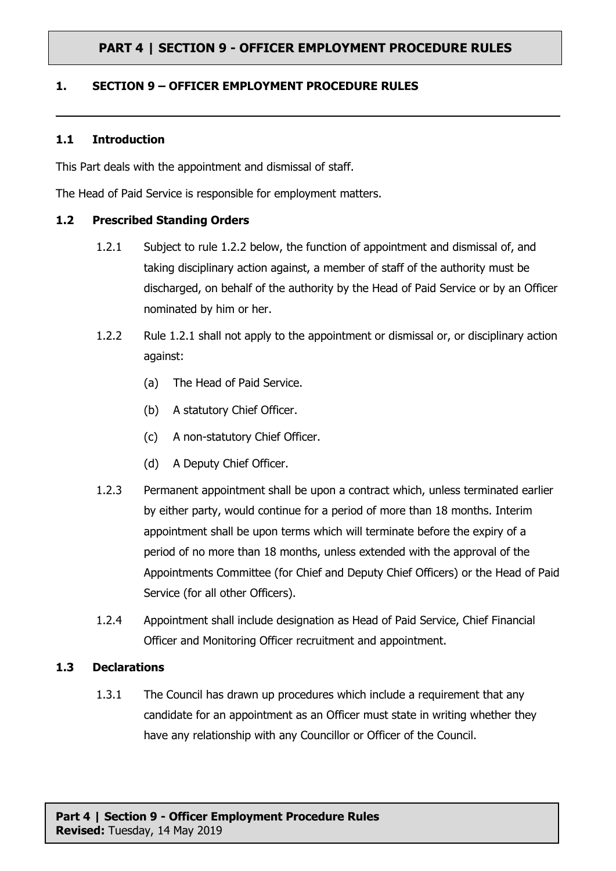### **1. SECTION 9 – OFFICER EMPLOYMENT PROCEDURE RULES**

#### **1.1 Introduction**

This Part deals with the appointment and dismissal of staff.

The Head of Paid Service is responsible for employment matters.

#### **1.2 Prescribed Standing Orders**

- 1.2.1 Subject to rule 1.2.2 below, the function of appointment and dismissal of, and taking disciplinary action against, a member of staff of the authority must be discharged, on behalf of the authority by the Head of Paid Service or by an Officer nominated by him or her.
- 1.2.2 Rule 1.2.1 shall not apply to the appointment or dismissal or, or disciplinary action against:
	- (a) The Head of Paid Service.
	- (b) A statutory Chief Officer.
	- (c) A non-statutory Chief Officer.
	- (d) A Deputy Chief Officer.
- 1.2.3 Permanent appointment shall be upon a contract which, unless terminated earlier by either party, would continue for a period of more than 18 months. Interim appointment shall be upon terms which will terminate before the expiry of a period of no more than 18 months, unless extended with the approval of the Appointments Committee (for Chief and Deputy Chief Officers) or the Head of Paid Service (for all other Officers).
- 1.2.4 Appointment shall include designation as Head of Paid Service, Chief Financial Officer and Monitoring Officer recruitment and appointment.

#### **1.3 Declarations**

1.3.1 The Council has drawn up procedures which include a requirement that any candidate for an appointment as an Officer must state in writing whether they have any relationship with any Councillor or Officer of the Council.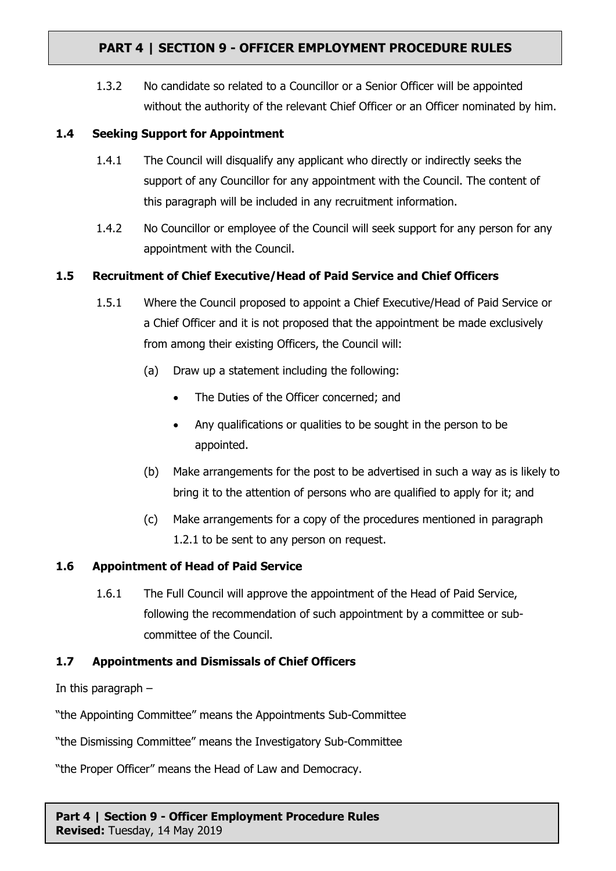1.3.2 No candidate so related to a Councillor or a Senior Officer will be appointed without the authority of the relevant Chief Officer or an Officer nominated by him.

## **1.4 Seeking Support for Appointment**

- 1.4.1 The Council will disqualify any applicant who directly or indirectly seeks the support of any Councillor for any appointment with the Council. The content of this paragraph will be included in any recruitment information.
- 1.4.2 No Councillor or employee of the Council will seek support for any person for any appointment with the Council.

## **1.5 Recruitment of Chief Executive/Head of Paid Service and Chief Officers**

- 1.5.1 Where the Council proposed to appoint a Chief Executive/Head of Paid Service or a Chief Officer and it is not proposed that the appointment be made exclusively from among their existing Officers, the Council will:
	- (a) Draw up a statement including the following:
		- The Duties of the Officer concerned; and
		- Any qualifications or qualities to be sought in the person to be appointed.
	- (b) Make arrangements for the post to be advertised in such a way as is likely to bring it to the attention of persons who are qualified to apply for it; and
	- (c) Make arrangements for a copy of the procedures mentioned in paragraph 1.2.1 to be sent to any person on request.

### **1.6 Appointment of Head of Paid Service**

1.6.1 The Full Council will approve the appointment of the Head of Paid Service, following the recommendation of such appointment by a committee or subcommittee of the Council.

### **1.7 Appointments and Dismissals of Chief Officers**

In this paragraph –

"the Appointing Committee" means the Appointments Sub-Committee

"the Dismissing Committee" means the Investigatory Sub-Committee

"the Proper Officer" means the Head of Law and Democracy.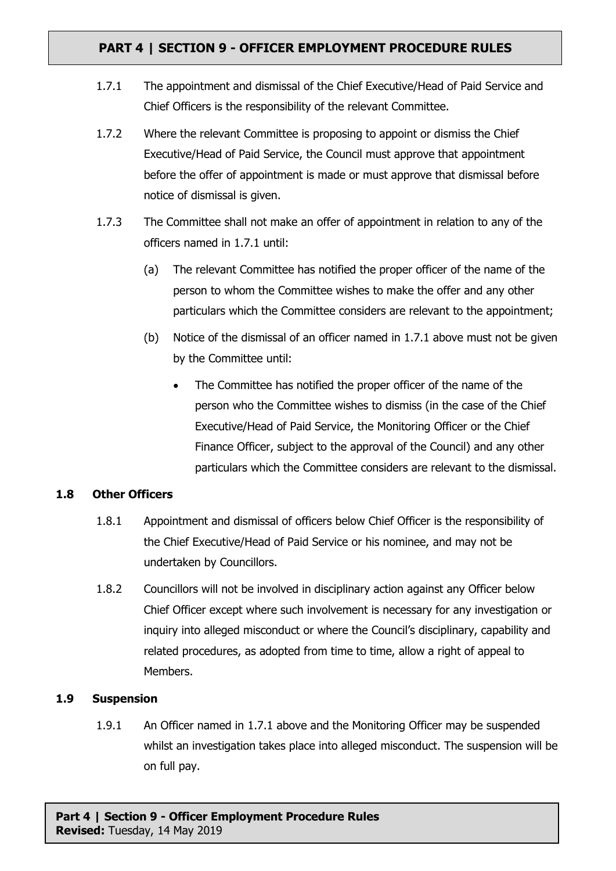- 1.7.1 The appointment and dismissal of the Chief Executive/Head of Paid Service and Chief Officers is the responsibility of the relevant Committee.
- 1.7.2 Where the relevant Committee is proposing to appoint or dismiss the Chief Executive/Head of Paid Service, the Council must approve that appointment before the offer of appointment is made or must approve that dismissal before notice of dismissal is given.
- 1.7.3 The Committee shall not make an offer of appointment in relation to any of the officers named in 1.7.1 until:
	- (a) The relevant Committee has notified the proper officer of the name of the person to whom the Committee wishes to make the offer and any other particulars which the Committee considers are relevant to the appointment;
	- (b) Notice of the dismissal of an officer named in 1.7.1 above must not be given by the Committee until:
		- The Committee has notified the proper officer of the name of the person who the Committee wishes to dismiss (in the case of the Chief Executive/Head of Paid Service, the Monitoring Officer or the Chief Finance Officer, subject to the approval of the Council) and any other particulars which the Committee considers are relevant to the dismissal.

### **1.8 Other Officers**

- 1.8.1 Appointment and dismissal of officers below Chief Officer is the responsibility of the Chief Executive/Head of Paid Service or his nominee, and may not be undertaken by Councillors.
- 1.8.2 Councillors will not be involved in disciplinary action against any Officer below Chief Officer except where such involvement is necessary for any investigation or inquiry into alleged misconduct or where the Council's disciplinary, capability and related procedures, as adopted from time to time, allow a right of appeal to Members.

### **1.9 Suspension**

1.9.1 An Officer named in 1.7.1 above and the Monitoring Officer may be suspended whilst an investigation takes place into alleged misconduct. The suspension will be on full pay.